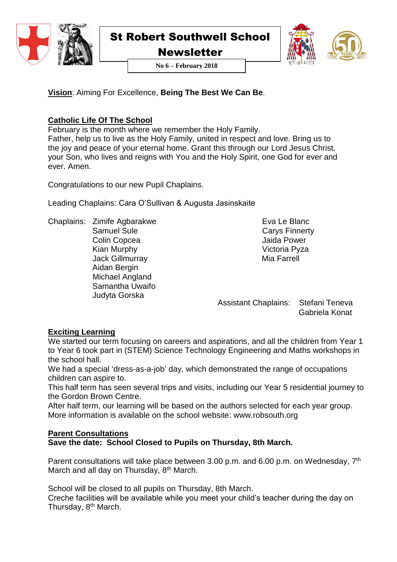

Newsletter

**No 6 – February 2018**



**Vision**: Aiming For Excellence, **Being The Best We Can Be**.

# **Catholic Life Of The School**

February is the month where we remember the Holy Family. Father, help us to live as the Holy Family, united in respect and love. Bring us to the joy and peace of your eternal home. Grant this through our Lord Jesus Christ, your Son, who lives and reigns with You and the Holy Spirit, one God for ever and ever. Amen.

Congratulations to our new Pupil Chaplains.

Leading Chaplains: Cara O'Sullivan & Augusta Jasinskaite

Chaplains: Zimife Agbarakwe Samuel Sule Colin Copcea Kian Murphy Jack Gillmurray Aidan Bergin Michael Angland Samantha Uwaifo Judyta Gorska

 Eva Le Blanc Carys Finnerty Jaida Power Victoria Pyza Mia Farrell

Assistant Chaplains: Stefani Teneva Gabriela Konat

# **Exciting Learning**

We started our term focusing on careers and aspirations, and all the children from Year 1 to Year 6 took part in (STEM) Science Technology Engineering and Maths workshops in the school hall.

We had a special 'dress-as-a-job' day, which demonstrated the range of occupations children can aspire to.

This half term has seen several trips and visits, including our Year 5 residential journey to the Gordon Brown Centre.

After half term, our learning will be based on the authors selected for each year group. More information is available on the school website: www.robsouth.org

# **Parent Consultations**

**Save the date: School Closed to Pupils on Thursday, 8th March.**

Parent consultations will take place between 3.00 p.m. and 6.00 p.m. on Wednesday,  $7<sup>th</sup>$ March and all day on Thursday, 8<sup>th</sup> March.

School will be closed to all pupils on Thursday, 8th March.

Creche facilities will be available while you meet your child's teacher during the day on Thursday, 8<sup>th</sup> March.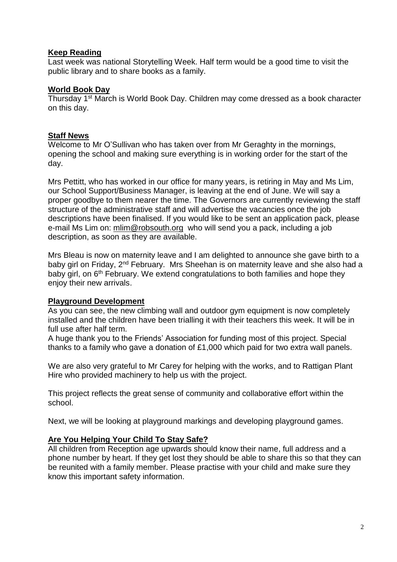#### **Keep Reading**

Last week was national Storytelling Week. Half term would be a good time to visit the public library and to share books as a family.

#### **World Book Day**

Thursday 1st March is World Book Day. Children may come dressed as a book character on this day.

#### **Staff News**

Welcome to Mr O'Sullivan who has taken over from Mr Geraghty in the mornings, opening the school and making sure everything is in working order for the start of the day.

Mrs Pettitt, who has worked in our office for many years, is retiring in May and Ms Lim, our School Support/Business Manager, is leaving at the end of June. We will say a proper goodbye to them nearer the time. The Governors are currently reviewing the staff structure of the administrative staff and will advertise the vacancies once the job descriptions have been finalised. If you would like to be sent an application pack, please e-mail Ms Lim on: [mlim@robsouth.org](mailto:mlim@robsouth.org) who will send you a pack, including a job description, as soon as they are available.

Mrs Bleau is now on maternity leave and I am delighted to announce she gave birth to a baby girl on Friday, 2<sup>nd</sup> February. Mrs Sheehan is on maternity leave and she also had a baby girl, on 6<sup>th</sup> February. We extend congratulations to both families and hope they enjoy their new arrivals.

#### **Playground Development**

As you can see, the new climbing wall and outdoor gym equipment is now completely installed and the children have been trialling it with their teachers this week. It will be in full use after half term.

A huge thank you to the Friends' Association for funding most of this project. Special thanks to a family who gave a donation of £1,000 which paid for two extra wall panels.

We are also very grateful to Mr Carey for helping with the works, and to Rattigan Plant Hire who provided machinery to help us with the project.

This project reflects the great sense of community and collaborative effort within the school.

Next, we will be looking at playground markings and developing playground games.

#### **Are You Helping Your Child To Stay Safe?**

All children from Reception age upwards should know their name, full address and a phone number by heart. If they get lost they should be able to share this so that they can be reunited with a family member. Please practise with your child and make sure they know this important safety information.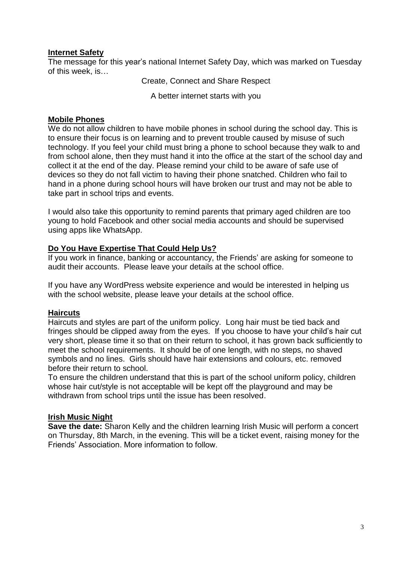#### **Internet Safety**

The message for this year's national Internet Safety Day, which was marked on Tuesday of this week, is…

Create, Connect and Share Respect

A better internet starts with you

#### **Mobile Phones**

We do not allow children to have mobile phones in school during the school day. This is to ensure their focus is on learning and to prevent trouble caused by misuse of such technology. If you feel your child must bring a phone to school because they walk to and from school alone, then they must hand it into the office at the start of the school day and collect it at the end of the day. Please remind your child to be aware of safe use of devices so they do not fall victim to having their phone snatched. Children who fail to hand in a phone during school hours will have broken our trust and may not be able to take part in school trips and events.

I would also take this opportunity to remind parents that primary aged children are too young to hold Facebook and other social media accounts and should be supervised using apps like WhatsApp.

#### **Do You Have Expertise That Could Help Us?**

If you work in finance, banking or accountancy, the Friends' are asking for someone to audit their accounts. Please leave your details at the school office.

If you have any WordPress website experience and would be interested in helping us with the school website, please leave your details at the school office.

#### **Haircuts**

Haircuts and styles are part of the uniform policy. Long hair must be tied back and fringes should be clipped away from the eyes. If you choose to have your child's hair cut very short, please time it so that on their return to school, it has grown back sufficiently to meet the school requirements. It should be of one length, with no steps, no shaved symbols and no lines. Girls should have hair extensions and colours, etc. removed before their return to school.

To ensure the children understand that this is part of the school uniform policy, children whose hair cut/style is not acceptable will be kept off the playground and may be withdrawn from school trips until the issue has been resolved.

#### **Irish Music Night**

**Save the date:** Sharon Kelly and the children learning Irish Music will perform a concert on Thursday, 8th March, in the evening. This will be a ticket event, raising money for the Friends' Association. More information to follow.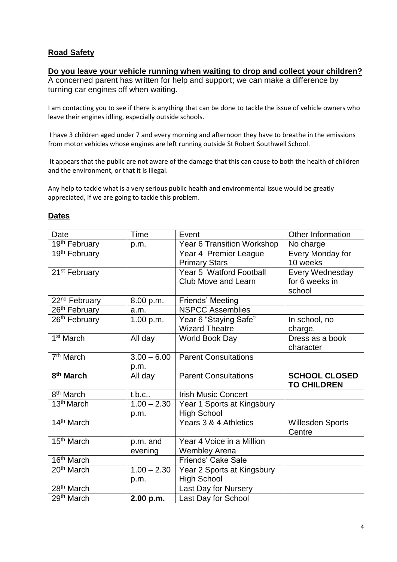## **Road Safety**

#### **Do you leave your vehicle running when waiting to drop and collect your children?**

A concerned parent has written for help and support; we can make a difference by turning car engines off when waiting.

I am contacting you to see if there is anything that can be done to tackle the issue of vehicle owners who leave their engines idling, especially outside schools.

I have 3 children aged under 7 and every morning and afternoon they have to breathe in the emissions from motor vehicles whose engines are left running outside St Robert Southwell School.

It appears that the public are not aware of the damage that this can cause to both the health of children and the environment, or that it is illegal.

Any help to tackle what is a very serious public health and environmental issue would be greatly appreciated, if we are going to tackle this problem.

| Date                      | <b>Time</b>   | Event                       | Other Information       |
|---------------------------|---------------|-----------------------------|-------------------------|
| 19th February             | p.m.          | Year 6 Transition Workshop  | No charge               |
| 19th February             |               | Year 4 Premier League       | Every Monday for        |
|                           |               | <b>Primary Stars</b>        | 10 weeks                |
| 21 <sup>st</sup> February |               | Year 5 Watford Football     | Every Wednesday         |
|                           |               | <b>Club Move and Learn</b>  | for 6 weeks in          |
|                           |               |                             | school                  |
| 22 <sup>nd</sup> February | 8.00 p.m.     | Friends' Meeting            |                         |
| 26 <sup>th</sup> February | a.m.          | <b>NSPCC Assemblies</b>     |                         |
| 26 <sup>th</sup> February | 1.00 p.m.     | Year 6 "Staying Safe"       | In school, no           |
|                           |               | <b>Wizard Theatre</b>       | charge.                 |
| 1 <sup>st</sup> March     | All day       | World Book Day              | Dress as a book         |
|                           |               |                             | character               |
| 7 <sup>th</sup> March     | $3.00 - 6.00$ | <b>Parent Consultations</b> |                         |
|                           | p.m.          |                             |                         |
| 8 <sup>th</sup> March     | All day       | <b>Parent Consultations</b> | <b>SCHOOL CLOSED</b>    |
|                           |               |                             | <b>TO CHILDREN</b>      |
| 8 <sup>th</sup> March     | $t.b.c.$ .    | <b>Irish Music Concert</b>  |                         |
| 13 <sup>th</sup> March    | $1.00 - 2.30$ | Year 1 Sports at Kingsbury  |                         |
|                           | p.m.          | <b>High School</b>          |                         |
| 14 <sup>th</sup> March    |               | Years 3 & 4 Athletics       | <b>Willesden Sports</b> |
|                           |               |                             | Centre                  |
| 15 <sup>th</sup> March    | p.m. and      | Year 4 Voice in a Million   |                         |
|                           | evening       | Wembley Arena               |                         |
| 16 <sup>th</sup> March    |               | <b>Friends' Cake Sale</b>   |                         |
| $20th$ March              | $1.00 - 2.30$ | Year 2 Sports at Kingsbury  |                         |
|                           | p.m.          | <b>High School</b>          |                         |
| 28 <sup>th</sup> March    |               | Last Day for Nursery        |                         |
| 29 <sup>th</sup> March    | 2.00 p.m.     | Last Day for School         |                         |

#### **Dates**